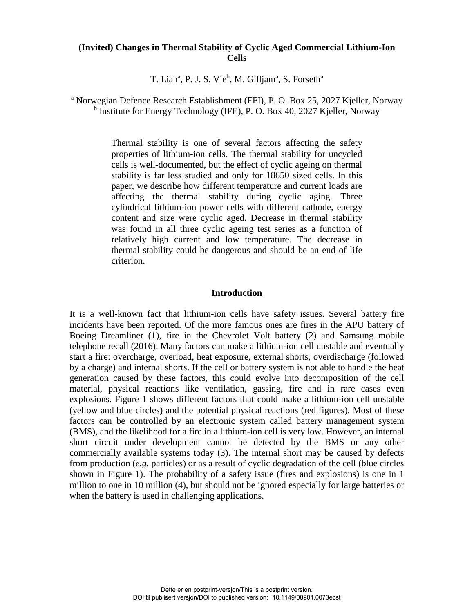# **(Invited) Changes in Thermal Stability of Cyclic Aged Commercial Lithium-Ion Cells**

T. Lian<sup>a</sup>, P. J. S. Vie<sup>b</sup>, M. Gilljam<sup>a</sup>, S. Forseth<sup>a</sup>

<sup>a</sup> Norwegian Defence Research Establishment (FFI), P. O. Box 25, 2027 Kjeller, Norway <sup>b</sup> Institute for Energy Technology (IFE), P. O. Box 40, 2027 Kjeller, Norway

> Thermal stability is one of several factors affecting the safety properties of lithium-ion cells. The thermal stability for uncycled cells is well-documented, but the effect of cyclic ageing on thermal stability is far less studied and only for 18650 sized cells. In this paper, we describe how different temperature and current loads are affecting the thermal stability during cyclic aging. Three cylindrical lithium-ion power cells with different cathode, energy content and size were cyclic aged. Decrease in thermal stability was found in all three cyclic ageing test series as a function of relatively high current and low temperature. The decrease in thermal stability could be dangerous and should be an end of life criterion.

### **Introduction**

It is a well-known fact that lithium-ion cells have safety issues. Several battery fire incidents have been reported. Of the more famous ones are fires in the APU battery of Boeing Dreamliner (1), fire in the Chevrolet Volt battery (2) and Samsung mobile telephone recall (2016). Many factors can make a lithium-ion cell unstable and eventually start a fire: overcharge, overload, heat exposure, external shorts, overdischarge (followed by a charge) and internal shorts. If the cell or battery system is not able to handle the heat generation caused by these factors, this could evolve into decomposition of the cell material, physical reactions like ventilation, gassing, fire and in rare cases even explosions. Figure 1 shows different factors that could make a lithium-ion cell unstable (yellow and blue circles) and the potential physical reactions (red figures). Most of these factors can be controlled by an electronic system called battery management system (BMS), and the likelihood for a fire in a lithium-ion cell is very low. However, an internal short circuit under development cannot be detected by the BMS or any other commercially available systems today (3). The internal short may be caused by defects from production (*e.g.* particles) or as a result of cyclic degradation of the cell (blue circles shown in Figure 1). The probability of a safety issue (fires and explosions) is one in 1 million to one in 10 million (4), but should not be ignored especially for large batteries or when the battery is used in challenging applications.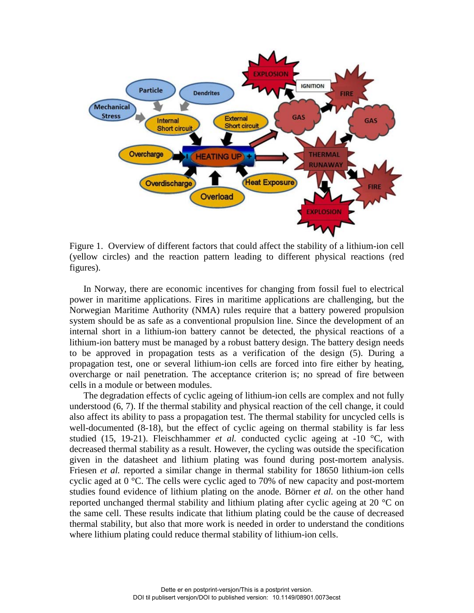

Figure 1. Overview of different factors that could affect the stability of a lithium-ion cell (yellow circles) and the reaction pattern leading to different physical reactions (red figures).

In Norway, there are economic incentives for changing from fossil fuel to electrical power in maritime applications. Fires in maritime applications are challenging, but the Norwegian Maritime Authority (NMA) rules require that a battery powered propulsion system should be as safe as a conventional propulsion line. Since the development of an internal short in a lithium-ion battery cannot be detected, the physical reactions of a lithium-ion battery must be managed by a robust battery design. The battery design needs to be approved in propagation tests as a verification of the design (5). During a propagation test, one or several lithium-ion cells are forced into fire either by heating, overcharge or nail penetration. The acceptance criterion is; no spread of fire between cells in a module or between modules.

The degradation effects of cyclic ageing of lithium-ion cells are complex and not fully understood (6, 7). If the thermal stability and physical reaction of the cell change, it could also affect its ability to pass a propagation test. The thermal stability for uncycled cells is well-documented (8-18), but the effect of cyclic ageing on thermal stability is far less studied (15, 19-21). Fleischhammer *et al.* conducted cyclic ageing at -10 °C, with decreased thermal stability as a result. However, the cycling was outside the specification given in the datasheet and lithium plating was found during post-mortem analysis. Friesen *et al.* reported a similar change in thermal stability for 18650 lithium-ion cells cyclic aged at 0 °C. The cells were cyclic aged to 70% of new capacity and post-mortem studies found evidence of lithium plating on the anode. Börner *et al.* on the other hand reported unchanged thermal stability and lithium plating after cyclic ageing at 20 °C on the same cell. These results indicate that lithium plating could be the cause of decreased thermal stability, but also that more work is needed in order to understand the conditions where lithium plating could reduce thermal stability of lithium-ion cells.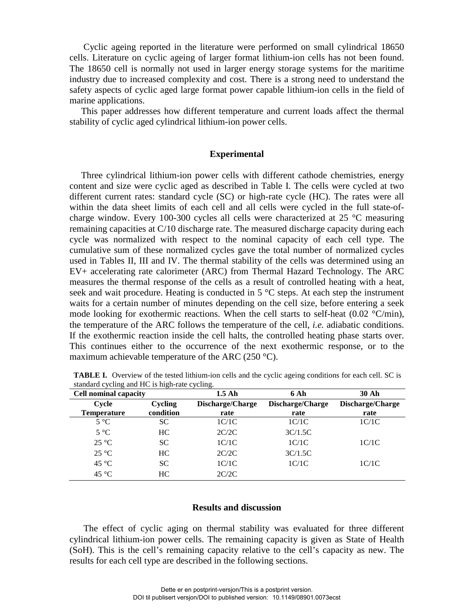Cyclic ageing reported in the literature were performed on small cylindrical 18650 cells. Literature on cyclic ageing of larger format lithium-ion cells has not been found. The 18650 cell is normally not used in larger energy storage systems for the maritime industry due to increased complexity and cost. There is a strong need to understand the safety aspects of cyclic aged large format power capable lithium-ion cells in the field of marine applications.

 This paper addresses how different temperature and current loads affect the thermal stability of cyclic aged cylindrical lithium-ion power cells.

#### **Experimental**

 Three cylindrical lithium-ion power cells with different cathode chemistries, energy content and size were cyclic aged as described in Table I. The cells were cycled at two different current rates: standard cycle (SC) or high-rate cycle (HC). The rates were all within the data sheet limits of each cell and all cells were cycled in the full state-ofcharge window. Every 100-300 cycles all cells were characterized at 25 °C measuring remaining capacities at C/10 discharge rate. The measured discharge capacity during each cycle was normalized with respect to the nominal capacity of each cell type. The cumulative sum of these normalized cycles gave the total number of normalized cycles used in Tables II, III and IV. The thermal stability of the cells was determined using an EV+ accelerating rate calorimeter (ARC) from Thermal Hazard Technology. The ARC measures the thermal response of the cells as a result of controlled heating with a heat, seek and wait procedure. Heating is conducted in  $5^{\circ}$ C steps. At each step the instrument waits for a certain number of minutes depending on the cell size, before entering a seek mode looking for exothermic reactions. When the cell starts to self-heat  $(0.02 \text{ °C/min})$ , the temperature of the ARC follows the temperature of the cell, *i.e.* adiabatic conditions. If the exothermic reaction inside the cell halts, the controlled heating phase starts over. This continues either to the occurrence of the next exothermic response, or to the maximum achievable temperature of the ARC (250  $^{\circ}$ C).

| <b>Cell nominal capacity</b> |                | $1.5$ Ah         | 6 Ah             | <b>30 Ah</b>     |
|------------------------------|----------------|------------------|------------------|------------------|
| Cycle                        | <b>Cycling</b> | Discharge/Charge | Discharge/Charge | Discharge/Charge |
| <b>Temperature</b>           | condition      | rate             | rate             | rate             |
| $5^{\circ}C$                 | SС             | 1C/1C            | 1C/1C            | 1C/1C            |
| $5^{\circ}C$                 | HC             | 2C/2C            | 3C/1.5C          |                  |
| $25^{\circ}$ C               | <b>SC</b>      | 1C/1C            | 1C/1C            | 1C/1C            |
| $25^{\circ}$ C               | HC             | 2C/2C            | 3C/1.5C          |                  |
| $45^{\circ}$ C               | <b>SC</b>      | 1C/1C            | 1C/1C            | 1C/1C            |
| $45^{\circ}$ C               | HC             | 2C/2C            |                  |                  |

**TABLE I.** Overview of the tested lithium-ion cells and the cyclic ageing conditions for each cell. SC is standard cycling and HC is high-rate cycling.

### **Results and discussion**

The effect of cyclic aging on thermal stability was evaluated for three different cylindrical lithium-ion power cells. The remaining capacity is given as State of Health (SoH). This is the cell's remaining capacity relative to the cell's capacity as new. The results for each cell type are described in the following sections.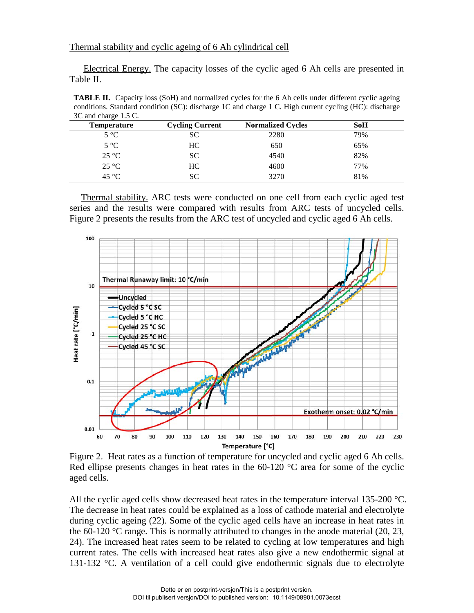Electrical Energy. The capacity losses of the cyclic aged 6 Ah cells are presented in Table II.

**TABLE II.** Capacity loss (SoH) and normalized cycles for the 6 Ah cells under different cyclic ageing conditions. Standard condition (SC): discharge 1C and charge 1 C. High current cycling (HC): discharge 3C and charge 1.5 C.

| <b>Temperature</b> | <b>Cycling Current</b> | <b>Normalized Cycles</b> | <b>SoH</b> |  |
|--------------------|------------------------|--------------------------|------------|--|
| $5^{\circ}C$       | SC                     | 2280                     | 79%        |  |
| $5^{\circ}C$       | HC.                    | 650                      | 65%        |  |
| $25^{\circ}C$      | SC.                    | 4540                     | 82%        |  |
| $25^{\circ}C$      | HC.                    | 4600                     | 77%        |  |
| 45 °C              | SС                     | 3270                     | 81%        |  |
|                    |                        |                          |            |  |

 Thermal stability. ARC tests were conducted on one cell from each cyclic aged test series and the results were compared with results from ARC tests of uncycled cells. Figure 2 presents the results from the ARC test of uncycled and cyclic aged 6 Ah cells.



Figure 2. Heat rates as a function of temperature for uncycled and cyclic aged 6 Ah cells. Red ellipse presents changes in heat rates in the  $60-120$  °C area for some of the cyclic aged cells.

All the cyclic aged cells show decreased heat rates in the temperature interval 135-200 °C. The decrease in heat rates could be explained as a loss of cathode material and electrolyte during cyclic ageing (22). Some of the cyclic aged cells have an increase in heat rates in the 60-120  $\degree$ C range. This is normally attributed to changes in the anode material (20, 23, 24). The increased heat rates seem to be related to cycling at low temperatures and high current rates. The cells with increased heat rates also give a new endothermic signal at 131-132 °C. A ventilation of a cell could give endothermic signals due to electrolyte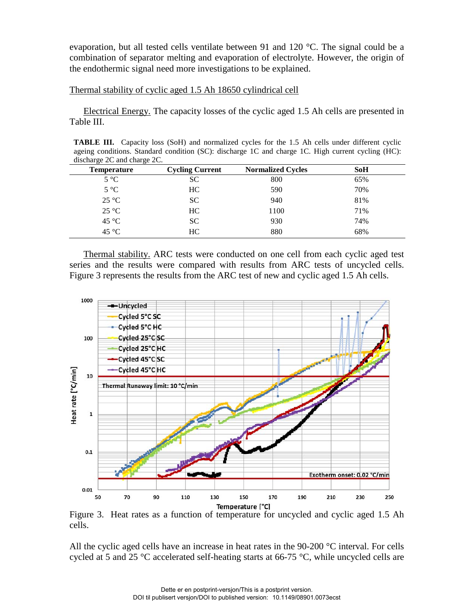evaporation, but all tested cells ventilate between 91 and 120 °C. The signal could be a combination of separator melting and evaporation of electrolyte. However, the origin of the endothermic signal need more investigations to be explained.

## Thermal stability of cyclic aged 1.5 Ah 18650 cylindrical cell

 Electrical Energy. The capacity losses of the cyclic aged 1.5 Ah cells are presented in Table III.

**TABLE III.** Capacity loss (SoH) and normalized cycles for the 1.5 Ah cells under different cyclic ageing conditions. Standard condition (SC): discharge 1C and charge 1C. High current cycling (HC): discharge 2C and charge 2C.

| <b>Temperature</b> | <b>Cycling Current</b> | <b>Normalized Cycles</b> | <b>SoH</b> |  |
|--------------------|------------------------|--------------------------|------------|--|
| $5^{\circ}C$       | SС                     | 800                      | 65%        |  |
| $5^{\circ}$ C      | HC.                    | 590                      | 70%        |  |
| $25^{\circ}C$      | SC.                    | 940                      | 81%        |  |
| $25^{\circ}C$      | HC.                    | 1100                     | 71%        |  |
| $45^{\circ}$ C     | <b>SC</b>              | 930                      | 74%        |  |
| $45^{\circ}$ C     | HC                     | 880                      | 68%        |  |

Thermal stability. ARC tests were conducted on one cell from each cyclic aged test series and the results were compared with results from ARC tests of uncycled cells. Figure 3 represents the results from the ARC test of new and cyclic aged 1.5 Ah cells.



Figure 3. Heat rates as a function of temperature for uncycled and cyclic aged 1.5 Ah cells.

All the cyclic aged cells have an increase in heat rates in the 90-200 °C interval. For cells cycled at 5 and 25 °C accelerated self-heating starts at 66-75 °C, while uncycled cells are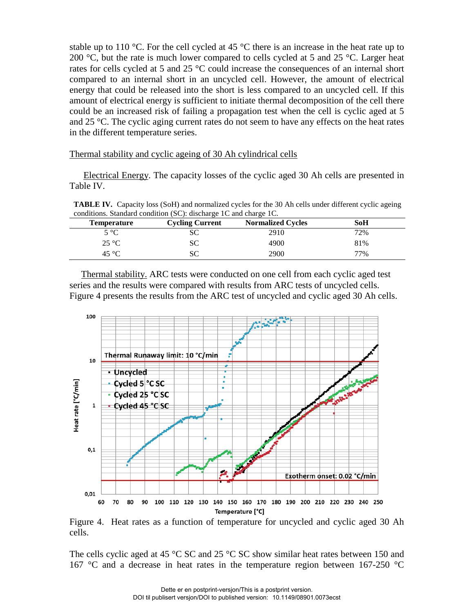stable up to 110 °C. For the cell cycled at 45 °C there is an increase in the heat rate up to 200  $\degree$ C, but the rate is much lower compared to cells cycled at 5 and 25  $\degree$ C. Larger heat rates for cells cycled at 5 and 25 °C could increase the consequences of an internal short compared to an internal short in an uncycled cell. However, the amount of electrical energy that could be released into the short is less compared to an uncycled cell. If this amount of electrical energy is sufficient to initiate thermal decomposition of the cell there could be an increased risk of failing a propagation test when the cell is cyclic aged at 5 and 25 °C. The cyclic aging current rates do not seem to have any effects on the heat rates in the different temperature series.

Thermal stability and cyclic ageing of 30 Ah cylindrical cells

 Electrical Energy. The capacity losses of the cyclic aged 30 Ah cells are presented in Table IV.

**TABLE IV.** Capacity loss (SoH) and normalized cycles for the 30 Ah cells under different cyclic ageing conditions. Standard condition (SC): discharge 1C and charge 1C.

| <b>Temperature</b> | <b>Cycling Current</b> | <b>Normalized Cycles</b> | SoH |
|--------------------|------------------------|--------------------------|-----|
| $5^{\circ}C$       | SС                     | 2910                     | 72% |
| $25^{\circ}C$      | SС                     | 4900                     | 81% |
| 45 °C              | SС                     | 2900                     | 77% |

 Thermal stability. ARC tests were conducted on one cell from each cyclic aged test series and the results were compared with results from ARC tests of uncycled cells. Figure 4 presents the results from the ARC test of uncycled and cyclic aged 30 Ah cells.



Figure 4. Heat rates as a function of temperature for uncycled and cyclic aged 30 Ah cells.

The cells cyclic aged at 45  $\degree$ C SC and 25  $\degree$ C SC show similar heat rates between 150 and 167 °C and a decrease in heat rates in the temperature region between 167-250 °C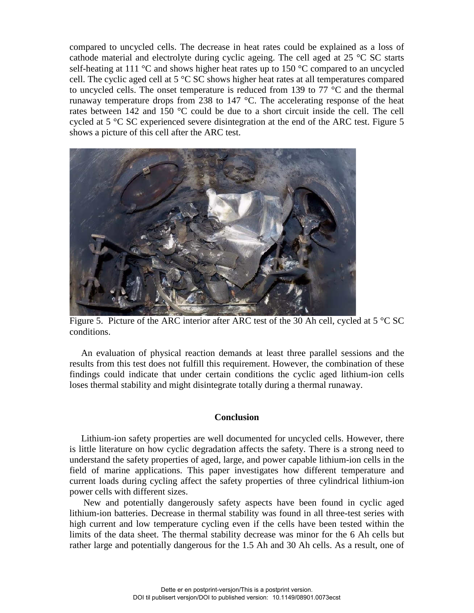compared to uncycled cells. The decrease in heat rates could be explained as a loss of cathode material and electrolyte during cyclic ageing. The cell aged at  $25 \text{ °C}$  SC starts self-heating at 111  $\degree$ C and shows higher heat rates up to 150  $\degree$ C compared to an uncycled cell. The cyclic aged cell at 5 °C SC shows higher heat rates at all temperatures compared to uncycled cells. The onset temperature is reduced from 139 to 77  $\degree$ C and the thermal runaway temperature drops from 238 to 147 °C. The accelerating response of the heat rates between 142 and 150 °C could be due to a short circuit inside the cell. The cell cycled at 5 °C SC experienced severe disintegration at the end of the ARC test. Figure 5 shows a picture of this cell after the ARC test.



Figure 5. Picture of the ARC interior after ARC test of the 30 Ah cell, cycled at 5 °C SC conditions.

 An evaluation of physical reaction demands at least three parallel sessions and the results from this test does not fulfill this requirement. However, the combination of these findings could indicate that under certain conditions the cyclic aged lithium-ion cells loses thermal stability and might disintegrate totally during a thermal runaway.

## **Conclusion**

 Lithium-ion safety properties are well documented for uncycled cells. However, there is little literature on how cyclic degradation affects the safety. There is a strong need to understand the safety properties of aged, large, and power capable lithium-ion cells in the field of marine applications. This paper investigates how different temperature and current loads during cycling affect the safety properties of three cylindrical lithium-ion power cells with different sizes.

New and potentially dangerously safety aspects have been found in cyclic aged lithium-ion batteries. Decrease in thermal stability was found in all three-test series with high current and low temperature cycling even if the cells have been tested within the limits of the data sheet. The thermal stability decrease was minor for the 6 Ah cells but rather large and potentially dangerous for the 1.5 Ah and 30 Ah cells. As a result, one of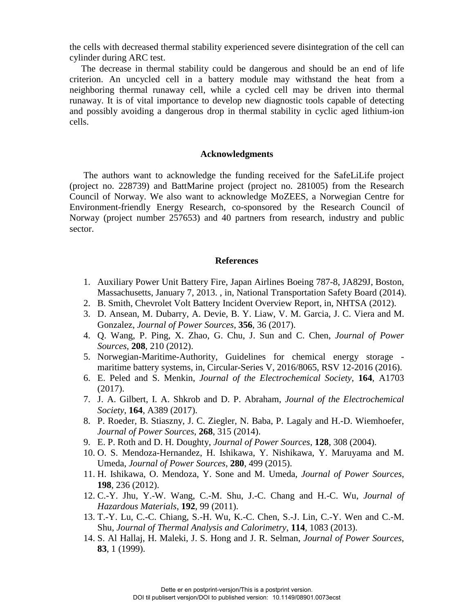the cells with decreased thermal stability experienced severe disintegration of the cell can cylinder during ARC test.

 The decrease in thermal stability could be dangerous and should be an end of life criterion. An uncycled cell in a battery module may withstand the heat from a neighboring thermal runaway cell, while a cycled cell may be driven into thermal runaway. It is of vital importance to develop new diagnostic tools capable of detecting and possibly avoiding a dangerous drop in thermal stability in cyclic aged lithium-ion cells.

### **Acknowledgments**

The authors want to acknowledge the funding received for the SafeLiLife project (project no. 228739) and BattMarine project (project no. 281005) from the Research Council of Norway. We also want to acknowledge MoZEES, a Norwegian Centre for Environment-friendly Energy Research, co-sponsored by the Research Council of Norway (project number 257653) and 40 partners from research, industry and public sector.

#### **References**

- 1. Auxiliary Power Unit Battery Fire, Japan Airlines Boeing 787-8, JA829J, Boston, Massachusetts, January 7, 2013. , in, National Transportation Safety Board (2014).
- 2. B. Smith, Chevrolet Volt Battery Incident Overview Report, in, NHTSA (2012).
- 3. D. Ansean, M. Dubarry, A. Devie, B. Y. Liaw, V. M. Garcia, J. C. Viera and M. Gonzalez, *Journal of Power Sources*, **356**, 36 (2017).
- 4. Q. Wang, P. Ping, X. Zhao, G. Chu, J. Sun and C. Chen, *Journal of Power Sources*, **208**, 210 (2012).
- 5. Norwegian-Maritime-Authority, Guidelines for chemical energy storage maritime battery systems, in, Circular-Series V, 2016/8065, RSV 12-2016 (2016).
- 6. E. Peled and S. Menkin, *Journal of the Electrochemical Society*, **164**, A1703 (2017).
- 7. J. A. Gilbert, I. A. Shkrob and D. P. Abraham, *Journal of the Electrochemical Society*, **164**, A389 (2017).
- 8. P. Roeder, B. Stiaszny, J. C. Ziegler, N. Baba, P. Lagaly and H.-D. Wiemhoefer, *Journal of Power Sources*, **268**, 315 (2014).
- 9. E. P. Roth and D. H. Doughty, *Journal of Power Sources*, **128**, 308 (2004).
- 10. O. S. Mendoza-Hernandez, H. Ishikawa, Y. Nishikawa, Y. Maruyama and M. Umeda, *Journal of Power Sources*, **280**, 499 (2015).
- 11. H. Ishikawa, O. Mendoza, Y. Sone and M. Umeda, *Journal of Power Sources*, **198**, 236 (2012).
- 12. C.-Y. Jhu, Y.-W. Wang, C.-M. Shu, J.-C. Chang and H.-C. Wu, *Journal of Hazardous Materials*, **192**, 99 (2011).
- 13. T.-Y. Lu, C.-C. Chiang, S.-H. Wu, K.-C. Chen, S.-J. Lin, C.-Y. Wen and C.-M. Shu, *Journal of Thermal Analysis and Calorimetry*, **114**, 1083 (2013).
- 14. S. Al Hallaj, H. Maleki, J. S. Hong and J. R. Selman, *Journal of Power Sources*, **83**, 1 (1999).